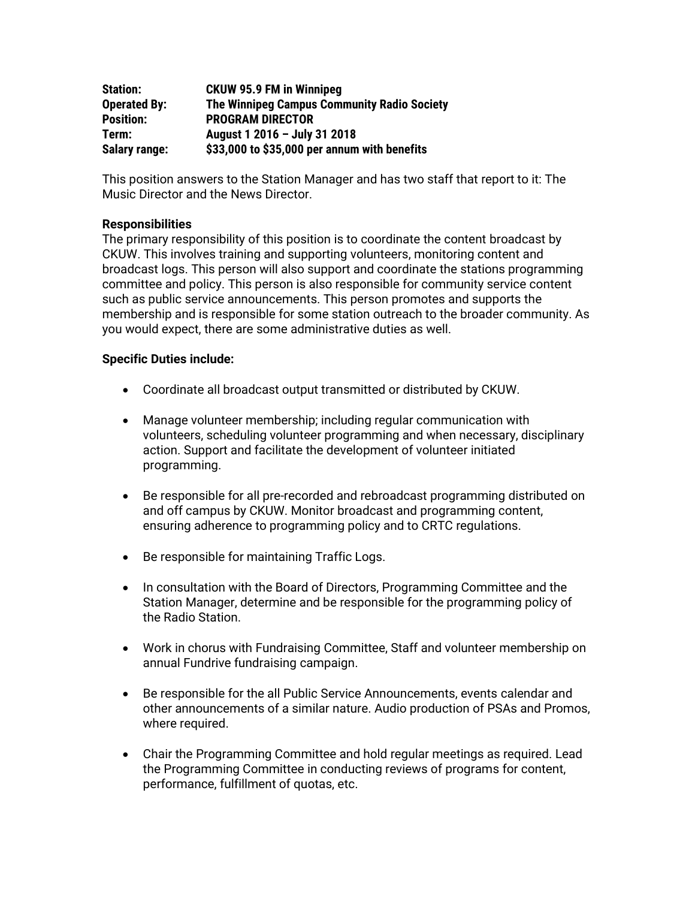| <b>Station:</b>      | <b>CKUW 95.9 FM in Winnipeg</b>                    |
|----------------------|----------------------------------------------------|
| <b>Operated By:</b>  | <b>The Winnipeg Campus Community Radio Society</b> |
| <b>Position:</b>     | <b>PROGRAM DIRECTOR</b>                            |
| Term:                | August 1 2016 - July 31 2018                       |
| <b>Salary range:</b> | \$33,000 to \$35,000 per annum with benefits       |

This position answers to the Station Manager and has two staff that report to it: The Music Director and the News Director.

## **Responsibilities**

The primary responsibility of this position is to coordinate the content broadcast by CKUW. This involves training and supporting volunteers, monitoring content and broadcast logs. This person will also support and coordinate the stations programming committee and policy. This person is also responsible for community service content such as public service announcements. This person promotes and supports the membership and is responsible for some station outreach to the broader community. As you would expect, there are some administrative duties as well.

## **Specific Duties include:**

- Coordinate all broadcast output transmitted or distributed by CKUW.
- Manage volunteer membership; including regular communication with volunteers, scheduling volunteer programming and when necessary, disciplinary action. Support and facilitate the development of volunteer initiated programming.
- Be responsible for all pre-recorded and rebroadcast programming distributed on and off campus by CKUW. Monitor broadcast and programming content, ensuring adherence to programming policy and to CRTC regulations.
- Be responsible for maintaining Traffic Logs.
- In consultation with the Board of Directors, Programming Committee and the Station Manager, determine and be responsible for the programming policy of the Radio Station.
- Work in chorus with Fundraising Committee, Staff and volunteer membership on annual Fundrive fundraising campaign.
- Be responsible for the all Public Service Announcements, events calendar and other announcements of a similar nature. Audio production of PSAs and Promos, where required.
- Chair the Programming Committee and hold regular meetings as required. Lead the Programming Committee in conducting reviews of programs for content, performance, fulfillment of quotas, etc.